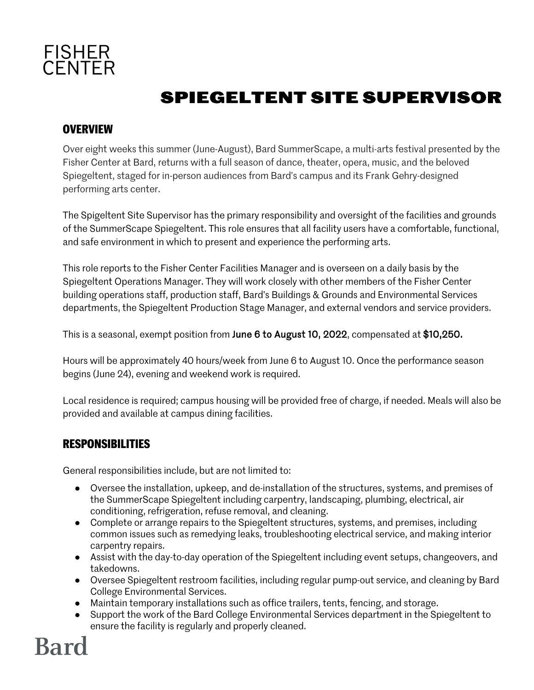

# **SPIEGELTENT SITE SUPERVISOR**

### **OVERVIEW**

Over eight weeks this summer (June-August), Bard SummerScape, a multi-arts festival presented by the Fisher Center at Bard, returns with a full season of dance, theater, opera, music, and the beloved Spiegeltent, staged for in-person audiences from Bard's campus and its Frank Gehry-designed performing arts center.

The Spigeltent Site Supervisor has the primary responsibility and oversight of the facilities and grounds of the SummerScape Spiegeltent. This role ensures that all facility users have a comfortable, functional, and safe environment in which to present and experience the performing arts.

This role reports to the Fisher Center Facilities Manager and is overseen on a daily basis by the Spiegeltent Operations Manager. They will work closely with other members of the Fisher Center building operations staff, production staff, Bard's Buildings & Grounds and Environmental Services departments, the Spiegeltent Production Stage Manager, and external vendors and service providers.

This is a seasonal, exempt position from June 6 to August 10, 2022, compensated at \$10,250.

Hours will be approximately 40 hours/week from June 6 to August 10. Once the performance season begins (June 24), evening and weekend work is required.

Local residence is required; campus housing will be provided free of charge, if needed. Meals will also be provided and available at campus dining facilities.

#### **RESPONSIBILITIES**

General responsibilities include, but are not limited to:

- Oversee the installation, upkeep, and de-installation of the structures, systems, and premises of the SummerScape Spiegeltent including carpentry, landscaping, plumbing, electrical, air conditioning, refrigeration, refuse removal, and cleaning.
- Complete or arrange repairs to the Spiegeltent structures, systems, and premises, including common issues such as remedying leaks, troubleshooting electrical service, and making interior carpentry repairs.
- Assist with the day-to-day operation of the Spiegeltent including event setups, changeovers, and takedowns.
- Oversee Spiegeltent restroom facilities, including regular pump-out service, and cleaning by Bard College Environmental Services.
- Maintain temporary installations such as office trailers, tents, fencing, and storage.
- Support the work of the Bard College Environmental Services department in the Spiegeltent to ensure the facility is regularly and properly cleaned.

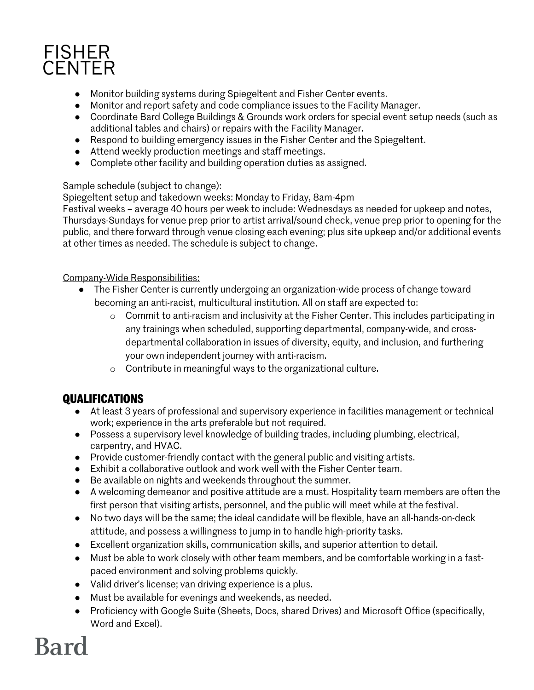## **FISHER** CENTER

- Monitor building systems during Spiegeltent and Fisher Center events.
- Monitor and report safety and code compliance issues to the Facility Manager.
- Coordinate Bard College Buildings & Grounds work orders for special event setup needs (such as additional tables and chairs) or repairs with the Facility Manager.
- Respond to building emergency issues in the Fisher Center and the Spiegeltent.
- Attend weekly production meetings and staff meetings.
- Complete other facility and building operation duties as assigned.

#### Sample schedule (subject to change):

Spiegeltent setup and takedown weeks: Monday to Friday, 8am-4pm

Festival weeks – average 40 hours per week to include: Wednesdays as needed for upkeep and notes, Thursdays-Sundays for venue prep prior to artist arrival/sound check, venue prep prior to opening for the public, and there forward through venue closing each evening; plus site upkeep and/or additional events at other times as needed. The schedule is subject to change.

#### Company-Wide Responsibilities:

- The Fisher Center is currently undergoing an organization-wide process of change toward becoming an anti-racist, multicultural institution. All on staff are expected to:
	- o Commit to anti-racism and inclusivity at the Fisher Center. This includes participating in any trainings when scheduled, supporting departmental, company-wide, and crossdepartmental collaboration in issues of diversity, equity, and inclusion, and furthering your own independent journey with anti-racism.
	- o Contribute in meaningful ways to the organizational culture.

## **QUALIFICATIONS**

- At least 3 years of professional and supervisory experience in facilities management or technical work; experience in the arts preferable but not required.
- Possess a supervisory level knowledge of building trades, including plumbing, electrical, carpentry, and HVAC.
- Provide customer-friendly contact with the general public and visiting artists.
- Exhibit a collaborative outlook and work well with the Fisher Center team.
- Be available on nights and weekends throughout the summer.
- A welcoming demeanor and positive attitude are a must. Hospitality team members are often the first person that visiting artists, personnel, and the public will meet while at the festival.
- No two days will be the same; the ideal candidate will be flexible, have an all-hands-on-deck attitude, and possess a willingness to jump in to handle high-priority tasks.
- Excellent organization skills, communication skills, and superior attention to detail.
- Must be able to work closely with other team members, and be comfortable working in a fastpaced environment and solving problems quickly.
- Valid driver's license; van driving experience is a plus.
- Must be available for evenings and weekends, as needed.
- Proficiency with Google Suite (Sheets, Docs, shared Drives) and Microsoft Office (specifically, Word and Excel).

# **Bard**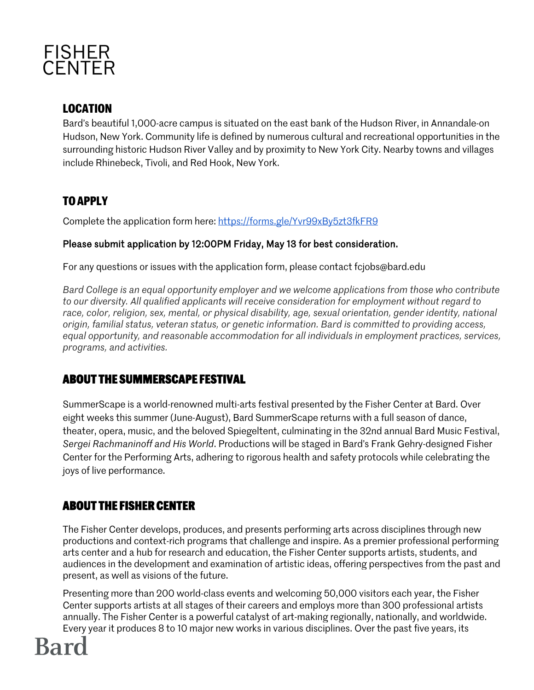

### **LOCATION**

Bard's beautiful 1,000-acre campus is situated on the east bank of the Hudson River, in Annandale-on Hudson, New York. Community life is defined by numerous cultural and recreational opportunities in the surrounding historic Hudson River Valley and by proximity to New York City. Nearby towns and villages include Rhinebeck, Tivoli, and Red Hook, New York.

## **TO APPLY**

Complete the application form here: https://forms.gle/Yvr99xBy5zt3fkFR9

#### Please submit application by 12:00PM Friday, May 13 for best consideration.

For any questions or issues with the application form, please contact fcjobs@bard.edu

*Bard College is an equal opportunity employer and we welcome applications from those who contribute to our diversity. All qualified applicants will receive consideration for employment without regard to race, color, religion, sex, mental, or physical disability, age, sexual orientation, gender identity, national origin, familial status, veteran status, or genetic information. Bard is committed to providing access, equal opportunity, and reasonable accommodation for all individuals in employment practices, services, programs, and activities.*

#### **ABOUT THE SUMMERSCAPE FESTIVAL**

SummerScape is a world-renowned multi-arts festival presented by the Fisher Center at Bard. Over eight weeks this summer (June-August), Bard SummerScape returns with a full season of dance, theater, opera, music, and the beloved Spiegeltent, culminating in the 32nd annual Bard Music Festival, *Sergei Rachmaninoff and His World*. Productions will be staged in Bard's Frank Gehry-designed Fisher Center for the Performing Arts, adhering to rigorous health and safety protocols while celebrating the joys of live performance.

#### **ABOUT THE FISHER CENTER**

The Fisher Center develops, produces, and presents performing arts across disciplines through new productions and context-rich programs that challenge and inspire. As a premier professional performing arts center and a hub for research and education, the Fisher Center supports artists, students, and audiences in the development and examination of artistic ideas, offering perspectives from the past and present, as well as visions of the future.

Presenting more than 200 world-class events and welcoming 50,000 visitors each year, the Fisher Center supports artists at all stages of their careers and employs more than 300 professional artists annually. The Fisher Center is a powerful catalyst of art-making regionally, nationally, and worldwide. Every year it produces 8 to 10 major new works in various disciplines. Over the past five years, its

# **Bard**